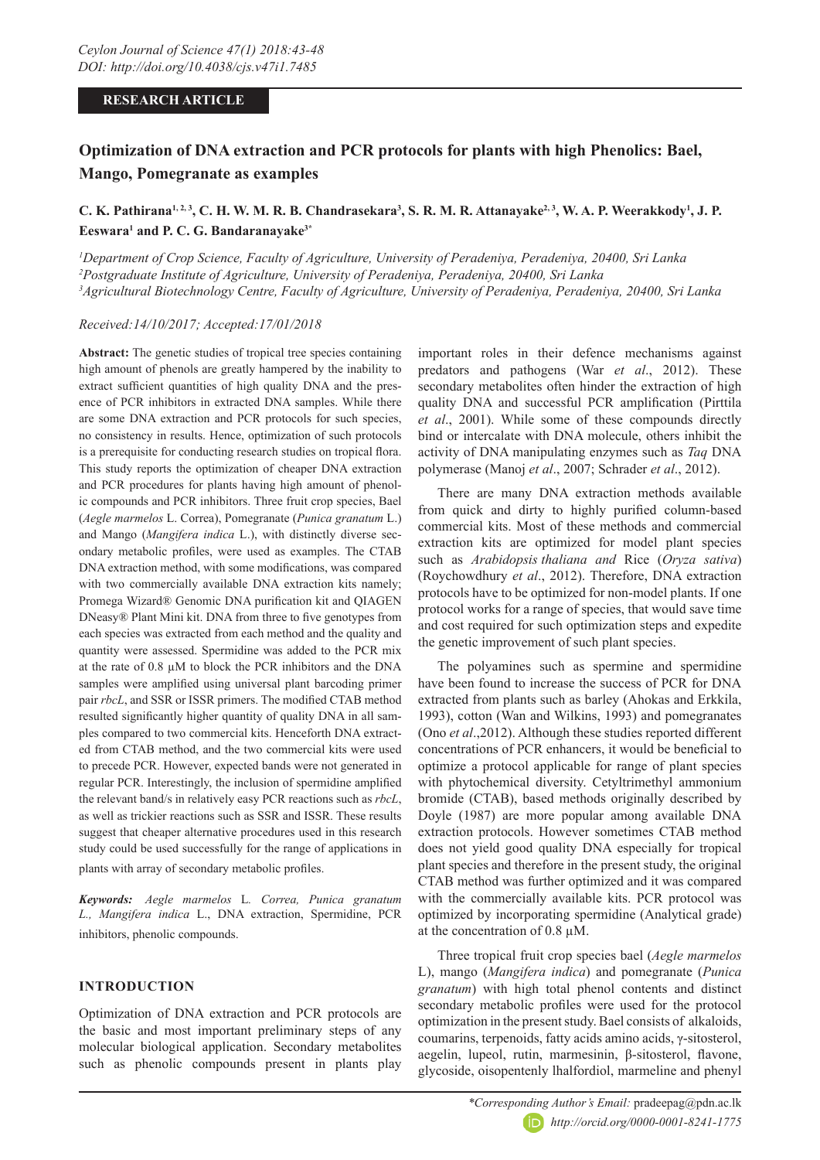### **RESEARCH ARTICLE**

# **Optimization of DNA extraction and PCR protocols for plants with high Phenolics: Bael, Mango, Pomegranate as examples**

# C. K. Pathirana<sup>1, 2, 3</sup>, C. H. W. M. R. B. Chandrasekara<sup>3</sup>, S. R. M. R. Attanayake<sup>2, 3</sup>, W. A. P. Weerakkody<sup>1</sup>, J. P. **Eeswara1 and P. C. G. Bandaranayake3\***

*1 Department of Crop Science, Faculty of Agriculture, University of Peradeniya, Peradeniya, 20400, Sri Lanka 2 Postgraduate Institute of Agriculture, University of Peradeniya, Peradeniya, 20400, Sri Lanka 3 Agricultural Biotechnology Centre, Faculty of Agriculture, University of Peradeniya, Peradeniya, 20400, Sri Lanka*

*Received:14/10/2017; Accepted:17/01/2018*

**Abstract:** The genetic studies of tropical tree species containing high amount of phenols are greatly hampered by the inability to extract sufficient quantities of high quality DNA and the presence of PCR inhibitors in extracted DNA samples. While there are some DNA extraction and PCR protocols for such species, no consistency in results. Hence, optimization of such protocols is a prerequisite for conducting research studies on tropical flora. This study reports the optimization of cheaper DNA extraction and PCR procedures for plants having high amount of phenolic compounds and PCR inhibitors. Three fruit crop species, Bael (*Aegle marmelos* L. Correa), Pomegranate (*Punica granatum* L.) and Mango (*Mangifera indica* L.), with distinctly diverse secondary metabolic profiles, were used as examples. The CTAB DNA extraction method, with some modifications, was compared with two commercially available DNA extraction kits namely; Promega Wizard® Genomic DNA purification kit and QIAGEN DNeasy® Plant Mini kit. DNA from three to five genotypes from each species was extracted from each method and the quality and quantity were assessed. Spermidine was added to the PCR mix at the rate of  $0.8 \mu M$  to block the PCR inhibitors and the DNA samples were amplified using universal plant barcoding primer pair *rbcL*, and SSR or ISSR primers. The modified CTAB method resulted significantly higher quantity of quality DNA in all samples compared to two commercial kits. Henceforth DNA extracted from CTAB method, and the two commercial kits were used to precede PCR. However, expected bands were not generated in regular PCR. Interestingly, the inclusion of spermidine amplified the relevant band/s in relatively easy PCR reactions such as *rbcL*, as well as trickier reactions such as SSR and ISSR. These results suggest that cheaper alternative procedures used in this research study could be used successfully for the range of applications in plants with array of secondary metabolic profiles.

*Keywords: Aegle marmelos* L*. Correa, Punica granatum L., Mangifera indica* L., DNA extraction, Spermidine, PCR inhibitors, phenolic compounds.

# **INTRODUCTION**

Optimization of DNA extraction and PCR protocols are the basic and most important preliminary steps of any molecular biological application. Secondary metabolites such as phenolic compounds present in plants play

important roles in their defence mechanisms against predators and pathogens (War *et al*., 2012). These secondary metabolites often hinder the extraction of high quality DNA and successful PCR amplification (Pirttila *et al*., 2001). While some of these compounds directly bind or intercalate with DNA molecule, others inhibit the activity of DNA manipulating enzymes such as *Taq* DNA polymerase (Manoj *et al*., 2007; Schrader *et al*., 2012).

There are many DNA extraction methods available from quick and dirty to highly purified column-based commercial kits. Most of these methods and commercial extraction kits are optimized for model plant species such as *Arabidopsis thaliana and* Rice (*Oryza sativa*) (Roychowdhury *et al*., 2012). Therefore, DNA extraction protocols have to be optimized for non-model plants. If one protocol works for a range of species, that would save time and cost required for such optimization steps and expedite the genetic improvement of such plant species.

The polyamines such as spermine and spermidine have been found to increase the success of PCR for DNA extracted from plants such as barley (Ahokas and Erkkila, 1993), cotton (Wan and Wilkins, 1993) and pomegranates (Ono *et al*.,2012). Although these studies reported different concentrations of PCR enhancers, it would be beneficial to optimize a protocol applicable for range of plant species with phytochemical diversity. Cetyltrimethyl ammonium bromide (CTAB), based methods originally described by Doyle (1987) are more popular among available DNA extraction protocols. However sometimes CTAB method does not yield good quality DNA especially for tropical plant species and therefore in the present study, the original CTAB method was further optimized and it was compared with the commercially available kits. PCR protocol was optimized by incorporating spermidine (Analytical grade) at the concentration of 0.8 µM.

Three tropical fruit crop species bael (*Aegle marmelos*  L), mango (*Mangifera indica*) and pomegranate (*Punica granatum*) with high total phenol contents and distinct secondary metabolic profiles were used for the protocol optimization in the present study. Bael consists of alkaloids, coumarins, terpenoids, fatty acids amino acids, γ-sitosterol, aegelin, lupeol, rutin, marmesinin, β-sitosterol, flavone, glycoside, oisopentenly lhalfordiol, marmeline and phenyl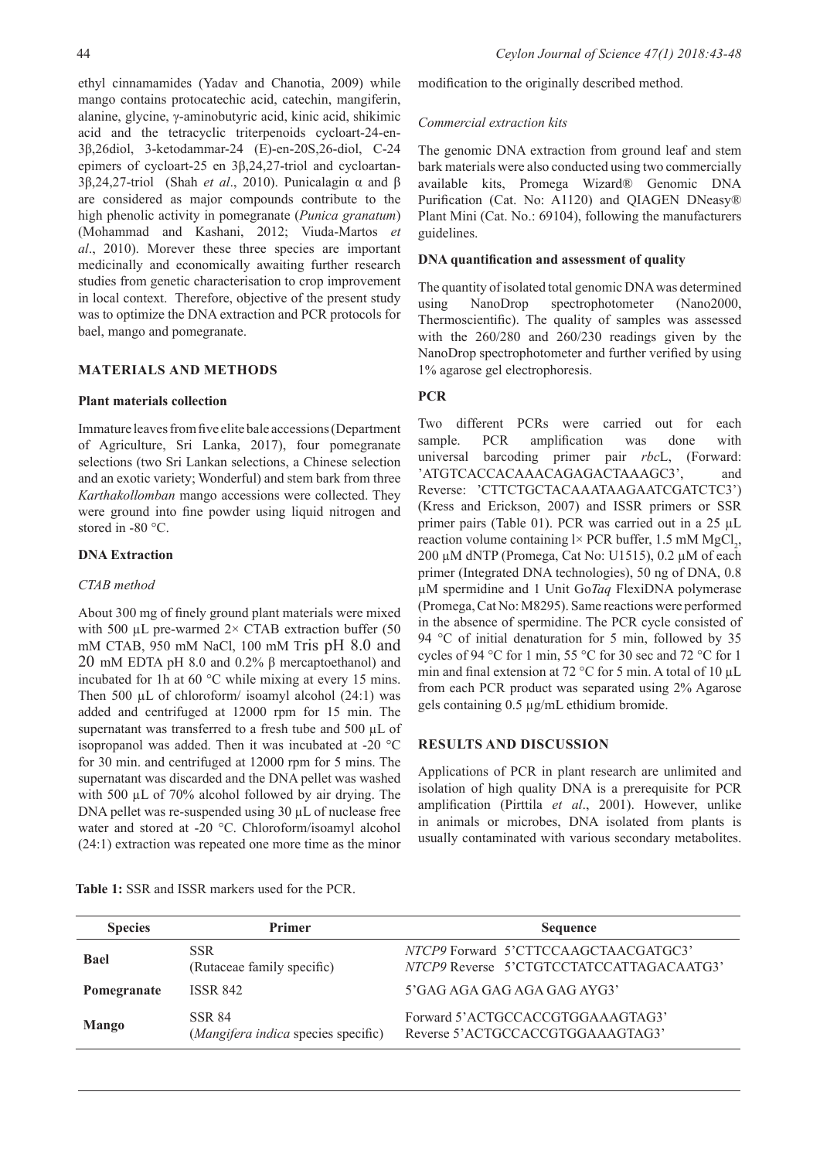The genomic DNA extraction from ground leaf and stem bark materials were also conducted using two commercially available kits, Promega Wizard® Genomic DNA Purification (Cat. No: A1120) and QIAGEN DNeasy® Plant Mini (Cat. No.: 69104), following the manufacturers guidelines.

### **DNA quantification and assessment of quality**

The quantity of isolated total genomic DNA was determined using NanoDrop spectrophotometer (Nano2000, Thermoscientific). The quality of samples was assessed with the 260/280 and 260/230 readings given by the NanoDrop spectrophotometer and further verified by using 1% agarose gel electrophoresis.

# **PCR**

Two different PCRs were carried out for each sample. PCR amplification was done with universal barcoding primer pair *rbc*L, (Forward: 'ATGTCACCACAAACAGAGACTAAAGC3', and Reverse: 'CTTCTGCTACAAATAAGAATCGATCTC3') (Kress and Erickson, 2007) and ISSR primers or SSR primer pairs (Table 01). PCR was carried out in a 25 µL reaction volume containing  $l \times PCR$  buffer, 1.5 mM MgCl<sub>2</sub>, 200 µM dNTP (Promega, Cat No: U1515), 0.2 µM of each primer (Integrated DNA technologies), 50 ng of DNA, 0.8 µM spermidine and 1 Unit Go*Taq* FlexiDNA polymerase (Promega, Cat No: M8295). Same reactions were performed in the absence of spermidine. The PCR cycle consisted of 94 °C of initial denaturation for 5 min, followed by 35 cycles of 94 °C for 1 min, 55 °C for 30 sec and 72 °C for 1 min and final extension at 72 °C for 5 min. A total of 10 µL from each PCR product was separated using 2% Agarose gels containing 0.5 µg/mL ethidium bromide.

# **RESULTS AND DISCUSSION**

Applications of PCR in plant research are unlimited and isolation of high quality DNA is a prerequisite for PCR amplification (Pirttila *et al*., 2001). However, unlike in animals or microbes, DNA isolated from plants is usually contaminated with various secondary metabolites.

alanine, glycine, γ-aminobutyric acid, kinic acid, shikimic acid and the tetracyclic triterpenoids cycloart-24-en-3β,26diol, 3-ketodammar-24 (E)-en-20S,26-diol, C-24 epimers of cycloart-25 en 3β,24,27-triol and cycloartan-3β,24,27-triol (Shah *et al*., 2010). Punicalagin α and β are considered as major compounds contribute to the high phenolic activity in pomegranate (*Punica granatum*) (Mohammad and Kashani, 2012; Viuda-Martos *et al*., 2010). Morever these three species are important medicinally and economically awaiting further research studies from genetic characterisation to crop improvement in local context. Therefore, objective of the present study was to optimize the DNA extraction and PCR protocols for bael, mango and pomegranate.

### **MATERIALS AND METHODS**

### **Plant materials collection**

Immature leaves from five elite bale accessions (Department of Agriculture, Sri Lanka, 2017), four pomegranate selections (two Sri Lankan selections, a Chinese selection and an exotic variety; Wonderful) and stem bark from three *Karthakollomban* mango accessions were collected. They were ground into fine powder using liquid nitrogen and stored in -80 °C.

# **DNA Extraction**

# *CTAB method*

About 300 mg of finely ground plant materials were mixed with 500  $\mu$ L pre-warmed 2× CTAB extraction buffer (50 mM CTAB, 950 mM NaCl, 100 mM Tris pH 8.0 and 20 mM EDTA pH 8.0 and 0.2% β mercaptoethanol) and incubated for 1h at 60 °C while mixing at every 15 mins. Then 500  $\mu$ L of chloroform/ isoamyl alcohol (24:1) was added and centrifuged at 12000 rpm for 15 min. The supernatant was transferred to a fresh tube and 500 µL of isopropanol was added. Then it was incubated at -20 °C for 30 min. and centrifuged at 12000 rpm for 5 mins. The supernatant was discarded and the DNA pellet was washed with 500  $\mu$ L of 70% alcohol followed by air drying. The DNA pellet was re-suspended using 30  $\mu$ L of nuclease free water and stored at -20 °C. Chloroform/isoamyl alcohol (24:1) extraction was repeated one more time as the minor

|  |  |  |  | <b>Table 1:</b> SSR and ISSR markers used for the PCR. |  |  |  |  |
|--|--|--|--|--------------------------------------------------------|--|--|--|--|
|--|--|--|--|--------------------------------------------------------|--|--|--|--|

| <b>Species</b> | <b>Primer</b>                                        | <b>Sequence</b>                                                                  |  |  |
|----------------|------------------------------------------------------|----------------------------------------------------------------------------------|--|--|
| <b>Bael</b>    | <b>SSR</b><br>(Rutaceae family specific)             | NTCP9 Forward 5'CTTCCAAGCTAACGATGC3'<br>NTCP9 Reverse 5'CTGTCCTATCCATTAGACAATG3' |  |  |
| Pomegranate    | <b>ISSR 842</b>                                      | 5'GAG AGA GAG AGA GAG AYG3'                                                      |  |  |
| <b>Mango</b>   | <b>SSR 84</b><br>(Mangifera indica species specific) | Forward 5'ACTGCCACCGTGGAAAGTAG3'<br>Reverse 5'ACTGCCACCGTGGAAAGTAG3'             |  |  |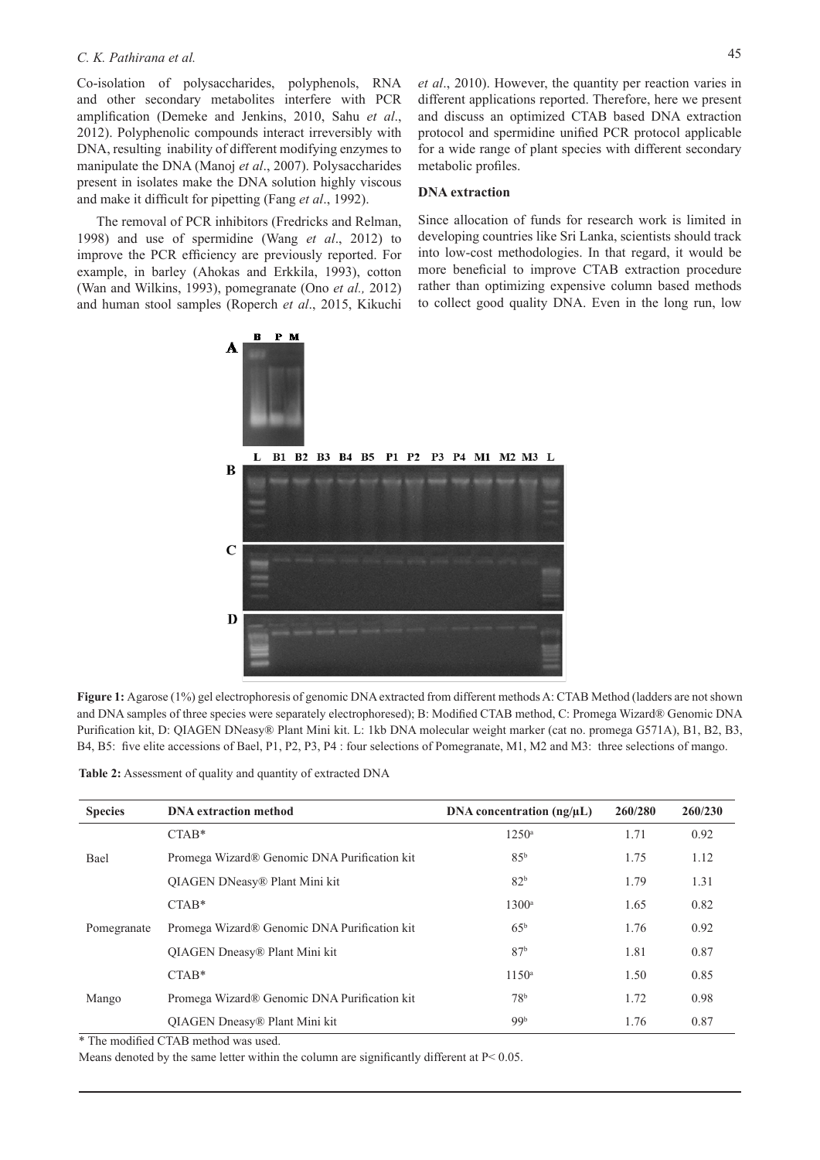#### *C. K. Pathirana et al.*

Co-isolation of polysaccharides, polyphenols, RNA and other secondary metabolites interfere with PCR amplification (Demeke and Jenkins, 2010, Sahu *et al*., 2012). Polyphenolic compounds interact irreversibly with DNA, resulting inability of different modifying enzymes to manipulate the DNA (Manoj *et al*., 2007). Polysaccharides present in isolates make the DNA solution highly viscous and make it difficult for pipetting (Fang *et al*., 1992).

The removal of PCR inhibitors (Fredricks and Relman, 1998) and use of spermidine (Wang *et al*., 2012) to improve the PCR efficiency are previously reported. For example, in barley (Ahokas and Erkkila, 1993), cotton (Wan and Wilkins, 1993), pomegranate (Ono *et al.,* 2012) and human stool samples (Roperch *et al*., 2015, Kikuchi

*et al*., 2010). However, the quantity per reaction varies in different applications reported. Therefore, here we present and discuss an optimized CTAB based DNA extraction protocol and spermidine unified PCR protocol applicable for a wide range of plant species with different secondary metabolic profiles.

#### **DNA extraction**

Since allocation of funds for research work is limited in developing countries like Sri Lanka, scientists should track into low-cost methodologies. In that regard, it would be more beneficial to improve CTAB extraction procedure rather than optimizing expensive column based methods to collect good quality DNA. Even in the long run, low



**Figure 1:** Agarose (1%) gel electrophoresis of genomic DNA extracted from different methods A: CTAB Method (ladders are not shown and DNA samples of three species were separately electrophoresed); B: Modified CTAB method, C: Promega Wizard® Genomic DNA Purification kit, D: QIAGEN DNeasy® Plant Mini kit. L: 1kb DNA molecular weight marker (cat no. promega G571A), B1, B2, B3, B4, B5: five elite accessions of Bael, P1, P2, P3, P4 : four selections of Pomegranate, M1, M2 and M3: three selections of mango.

|  |  | Table 2: Assessment of quality and quantity of extracted DNA |
|--|--|--------------------------------------------------------------|
|--|--|--------------------------------------------------------------|

| <b>Species</b> | <b>DNA</b> extraction method                 | DNA concentration $(ng/\mu L)$ | 260/280 | 260/230 |
|----------------|----------------------------------------------|--------------------------------|---------|---------|
| Bael           | $CTAB*$                                      | $1250$ <sup>a</sup>            | 1.71    | 0.92    |
|                | Promega Wizard® Genomic DNA Purification kit | 85 <sup>b</sup>                | 1.75    | 1.12    |
|                | OIAGEN DNeasy® Plant Mini kit                | 82 <sup>b</sup>                | 1.79    | 1.31    |
| Pomegranate    | $CTAB*$                                      | $1300^{\mathrm{a}}$            | 1.65    | 0.82    |
|                | Promega Wizard® Genomic DNA Purification kit | 65 <sup>b</sup>                | 1.76    | 0.92    |
|                | QIAGEN Dneasy® Plant Mini kit                | 87 <sup>b</sup>                | 1.81    | 0.87    |
| Mango          | $CTAB*$                                      | $1150^{\circ}$                 | 1.50    | 0.85    |
|                | Promega Wizard® Genomic DNA Purification kit | 78 <sup>b</sup>                | 1.72    | 0.98    |
|                | OIAGEN Dneasy® Plant Mini kit                | 99b                            | 1.76    | 0.87    |

\* The modified CTAB method was used.

Means denoted by the same letter within the column are significantly different at P< 0.05.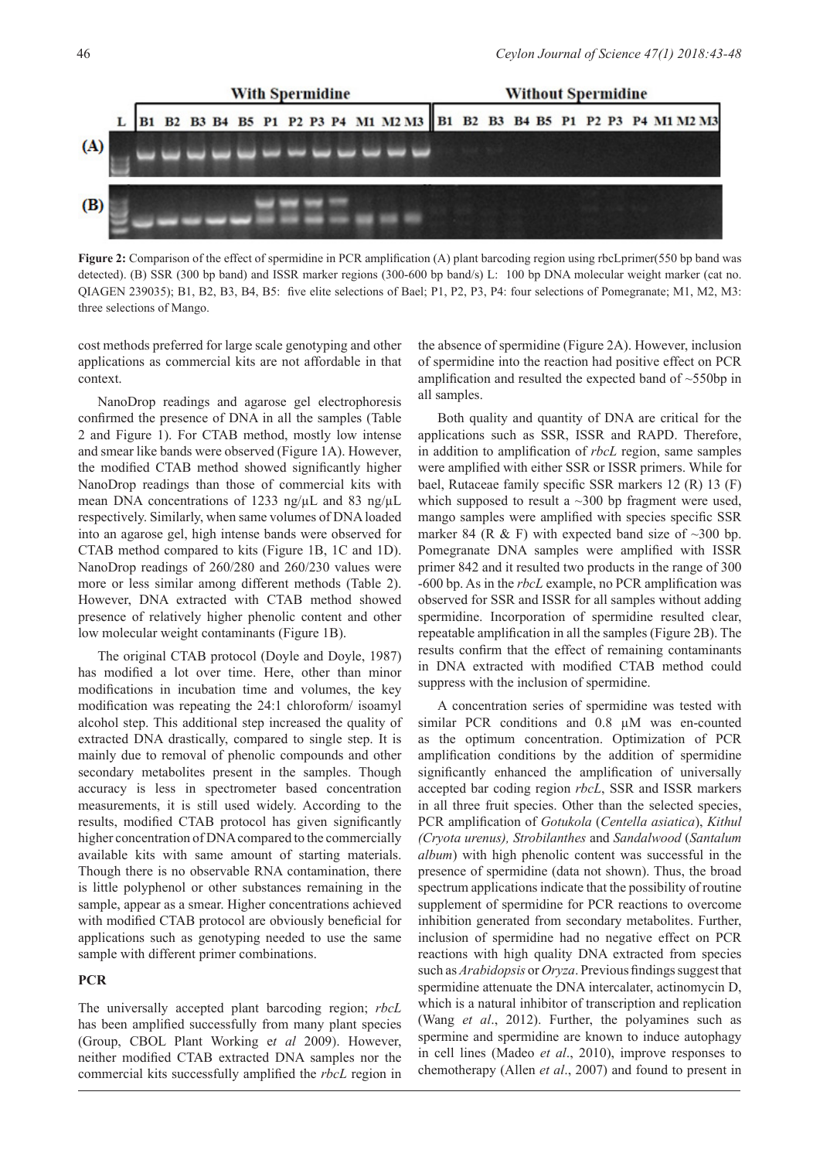

**Figure 2:** Comparison of the effect of spermidine in PCR amplification (A) plant barcoding region using rbcLprimer(550 bp band was detected). (B) SSR (300 bp band) and ISSR marker regions (300-600 bp band/s) L: 100 bp DNA molecular weight marker (cat no. QIAGEN 239035); B1, B2, B3, B4, B5: five elite selections of Bael; P1, P2, P3, P4: four selections of Pomegranate; M1, M2, M3: three selections of Mango.

cost methods preferred for large scale genotyping and other applications as commercial kits are not affordable in that context.

NanoDrop readings and agarose gel electrophoresis confirmed the presence of DNA in all the samples (Table 2 and Figure 1). For CTAB method, mostly low intense and smear like bands were observed (Figure 1A). However, the modified CTAB method showed significantly higher NanoDrop readings than those of commercial kits with mean DNA concentrations of 1233 ng/µL and 83 ng/µL respectively. Similarly, when same volumes of DNA loaded into an agarose gel, high intense bands were observed for CTAB method compared to kits (Figure 1B, 1C and 1D). NanoDrop readings of 260/280 and 260/230 values were more or less similar among different methods (Table 2). However, DNA extracted with CTAB method showed presence of relatively higher phenolic content and other low molecular weight contaminants (Figure 1B).

The original CTAB protocol (Doyle and Doyle, 1987) has modified a lot over time. Here, other than minor modifications in incubation time and volumes, the key modification was repeating the 24:1 chloroform/ isoamyl alcohol step. This additional step increased the quality of extracted DNA drastically, compared to single step. It is mainly due to removal of phenolic compounds and other secondary metabolites present in the samples. Though accuracy is less in spectrometer based concentration measurements, it is still used widely. According to the results, modified CTAB protocol has given significantly higher concentration of DNA compared to the commercially available kits with same amount of starting materials. Though there is no observable RNA contamination, there is little polyphenol or other substances remaining in the sample, appear as a smear. Higher concentrations achieved with modified CTAB protocol are obviously beneficial for applications such as genotyping needed to use the same sample with different primer combinations.

#### **PCR**

The universally accepted plant barcoding region; *rbcL* has been amplified successfully from many plant species (Group, CBOL Plant Working e*t al* 2009). However, neither modified CTAB extracted DNA samples nor the commercial kits successfully amplified the *rbcL* region in

the absence of spermidine (Figure 2A). However, inclusion of spermidine into the reaction had positive effect on PCR amplification and resulted the expected band of ~550bp in all samples.

Both quality and quantity of DNA are critical for the applications such as SSR, ISSR and RAPD. Therefore, in addition to amplification of *rbcL* region, same samples were amplified with either SSR or ISSR primers. While for bael, Rutaceae family specific SSR markers 12 (R) 13 (F) which supposed to result a  $\sim$ 300 bp fragment were used, mango samples were amplified with species specific SSR marker 84 (R  $\&$  F) with expected band size of  $\sim$ 300 bp. Pomegranate DNA samples were amplified with ISSR primer 842 and it resulted two products in the range of 300 -600 bp. As in the *rbcL* example, no PCR amplification was observed for SSR and ISSR for all samples without adding spermidine. Incorporation of spermidine resulted clear, repeatable amplification in all the samples (Figure 2B). The results confirm that the effect of remaining contaminants in DNA extracted with modified CTAB method could suppress with the inclusion of spermidine.

A concentration series of spermidine was tested with similar PCR conditions and 0.8 µM was en-counted as the optimum concentration. Optimization of PCR amplification conditions by the addition of spermidine significantly enhanced the amplification of universally accepted bar coding region *rbcL*, SSR and ISSR markers in all three fruit species. Other than the selected species, PCR amplification of *Gotukola* (*Centella asiatica*), *Kithul (Cryota urenus), Strobilanthes* and *Sandalwood* (*Santalum album*) with high phenolic content was successful in the presence of spermidine (data not shown). Thus, the broad spectrum applications indicate that the possibility of routine supplement of spermidine for PCR reactions to overcome inhibition generated from secondary metabolites. Further, inclusion of spermidine had no negative effect on PCR reactions with high quality DNA extracted from species such as *Arabidopsis* or *Oryza*. Previous findings suggest that spermidine attenuate the DNA intercalater, actinomycin D, which is a natural inhibitor of transcription and replication (Wang *et al*., 2012). Further, the polyamines such as spermine and spermidine are known to induce autophagy in cell lines (Madeo *et al*., 2010), improve responses to chemotherapy (Allen *et al*., 2007) and found to present in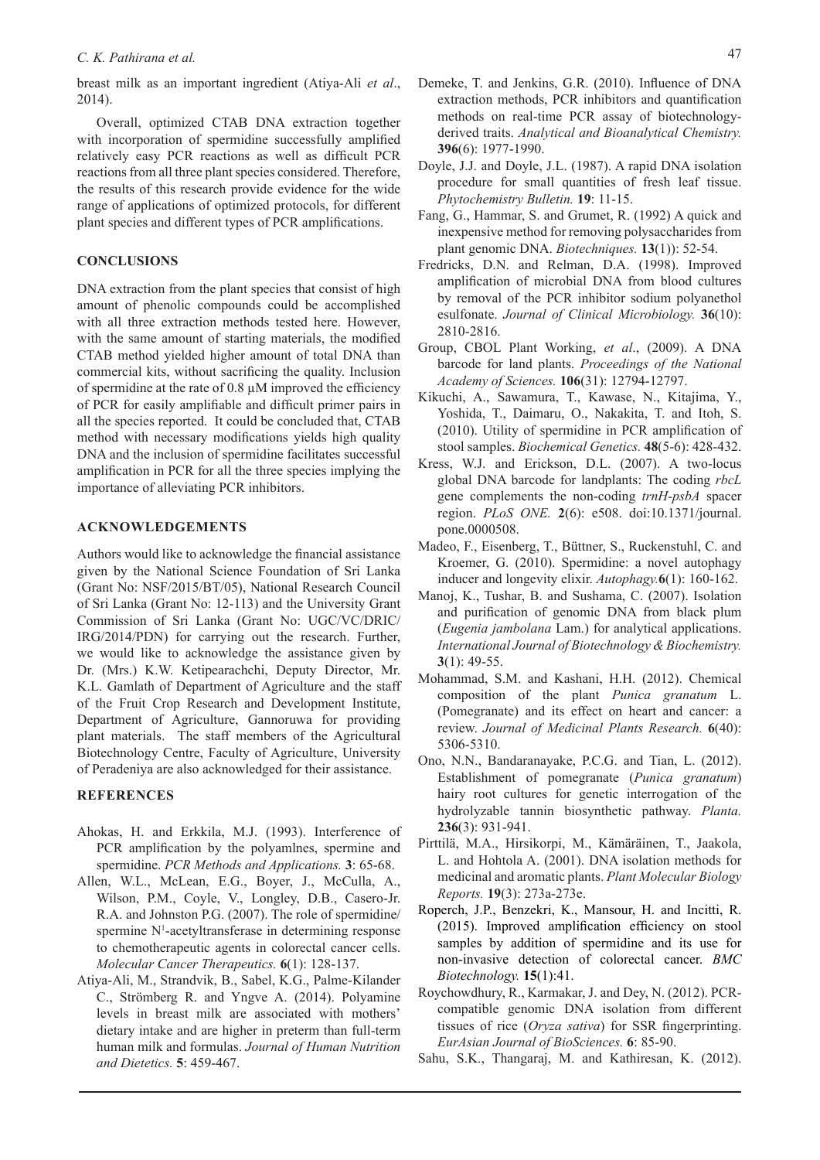#### *C. K. Pathirana et al.*

breast milk as an important ingredient (Atiya-Ali *et al*., 2014).

Overall, optimized CTAB DNA extraction together with incorporation of spermidine successfully amplified relatively easy PCR reactions as well as difficult PCR reactions from all three plant species considered. Therefore, the results of this research provide evidence for the wide range of applications of optimized protocols, for different plant species and different types of PCR amplifications.

#### **CONCLUSIONS**

DNA extraction from the plant species that consist of high amount of phenolic compounds could be accomplished with all three extraction methods tested here. However, with the same amount of starting materials, the modified CTAB method yielded higher amount of total DNA than commercial kits, without sacrificing the quality. Inclusion of spermidine at the rate of 0.8 µM improved the efficiency of PCR for easily amplifiable and difficult primer pairs in all the species reported. It could be concluded that, CTAB method with necessary modifications yields high quality DNA and the inclusion of spermidine facilitates successful amplification in PCR for all the three species implying the importance of alleviating PCR inhibitors.

### **ACKNOWLEDGEMENTS**

Authors would like to acknowledge the financial assistance given by the National Science Foundation of Sri Lanka (Grant No: NSF/2015/BT/05), National Research Council of Sri Lanka (Grant No: 12-113) and the University Grant Commission of Sri Lanka (Grant No: UGC/VC/DRIC/ IRG/2014/PDN) for carrying out the research. Further, we would like to acknowledge the assistance given by Dr. (Mrs.) K.W. Ketipearachchi, Deputy Director, Mr. K.L. Gamlath of Department of Agriculture and the staff of the Fruit Crop Research and Development Institute, Department of Agriculture, Gannoruwa for providing plant materials. The staff members of the Agricultural Biotechnology Centre, Faculty of Agriculture, University of Peradeniya are also acknowledged for their assistance.

#### **REFERENCES**

- Ahokas, H. and Erkkila, M.J. (1993). Interference of PCR amplification by the polyamlnes, spermine and spermidine. *PCR Methods and Applications.* **3**: 65-68.
- Allen, W.L., McLean, E.G., Boyer, J., McCulla, A., Wilson, P.M., Coyle, V., Longley, D.B., Casero-Jr. R.A. and Johnston P.G. (2007). The role of spermidine/ spermine N<sup>1</sup>-acetyltransferase in determining response to chemotherapeutic agents in colorectal cancer cells. *Molecular Cancer Therapeutics.* **6**(1): 128-137.
- Atiya-Ali, M., Strandvik, B., Sabel, K.G., Palme-Kilander C., Strömberg R. and Yngve A. (2014). Polyamine levels in breast milk are associated with mothers' dietary intake and are higher in preterm than full-term human milk and formulas. *Journal of Human Nutrition and Dietetics.* **5**: 459-467.
- Demeke, T. and Jenkins, G.R. (2010). Influence of DNA extraction methods, PCR inhibitors and quantification methods on real-time PCR assay of biotechnologyderived traits. *Analytical and Bioanalytical Chemistry.*  **396**(6): 1977-1990.
- Doyle, J.J. and Doyle, J.L. (1987). A rapid DNA isolation procedure for small quantities of fresh leaf tissue. *Phytochemistry Bulletin.* **19**: 11-15.
- Fang, G., Hammar, S. and Grumet, R. (1992) A quick and inexpensive method for removing polysaccharides from plant genomic DNA. *Biotechniques.* **13**(1)): 52-54.
- Fredricks, D.N. and Relman, D.A. (1998). Improved amplification of microbial DNA from blood cultures by removal of the PCR inhibitor sodium polyanethol esulfonate. *Journal of Clinical Microbiology.* **36**(10): 2810-2816.
- Group, CBOL Plant Working, *et al*., (2009). A DNA barcode for land plants. *Proceedings of the National Academy of Sciences.* **106**(31): 12794-12797.
- Kikuchi, A., Sawamura, T., Kawase, N., Kitajima, Y., Yoshida, T., Daimaru, O., Nakakita, T. and Itoh, S. (2010). Utility of spermidine in PCR amplification of stool samples. *Biochemical Genetics.* **48**(5-6): 428-432.
- Kress, W.J. and Erickson, D.L. (2007). A two-locus global DNA barcode for landplants: The coding *rbcL*  gene complements the non-coding *trnH-psbA* spacer region. *PLoS ONE.* **2**(6): e508. doi:10.1371/journal. pone.0000508.
- Madeo, F., Eisenberg, T., Büttner, S., Ruckenstuhl, C. and Kroemer, G. (2010). Spermidine: a novel autophagy inducer and longevity elixir. *Autophagy.***6**(1): 160-162.
- Manoj, K., Tushar, B. and Sushama, C. (2007). Isolation and purification of genomic DNA from black plum (*Eugenia jambolana* Lam.) for analytical applications. *International Journal of Biotechnology & Biochemistry.*  **3**(1): 49-55.
- Mohammad, S.M. and Kashani, H.H. (2012). Chemical composition of the plant *Punica granatum* L. (Pomegranate) and its effect on heart and cancer: a review. *Journal of Medicinal Plants Research.* **6**(40): 5306-5310.
- Ono, N.N., Bandaranayake, P.C.G. and Tian, L. (2012). Establishment of pomegranate (*Punica granatum*) hairy root cultures for genetic interrogation of the hydrolyzable tannin biosynthetic pathway. *Planta.*  **236**(3): 931-941.
- Pirttilä, M.A., Hirsikorpi, M., Kämäräinen, T., Jaakola, L. and Hohtola A. (2001). DNA isolation methods for medicinal and aromatic plants. *Plant Molecular Biology Reports.* **19**(3): 273a-273e.
- Roperch, J.P., Benzekri, K., Mansour, H. and Incitti, R. (2015). Improved amplification efficiency on stool samples by addition of spermidine and its use for non-invasive detection of colorectal cancer. *BMC Biotechnology.* **15**(1):41.
- Roychowdhury, R., Karmakar, J. and Dey, N. (2012). PCRcompatible genomic DNA isolation from different tissues of rice (*Oryza sativa*) for SSR fingerprinting. *EurAsian Journal of BioSciences.* **6**: 85-90.
- Sahu, S.K., Thangaraj, M. and Kathiresan, K. (2012).